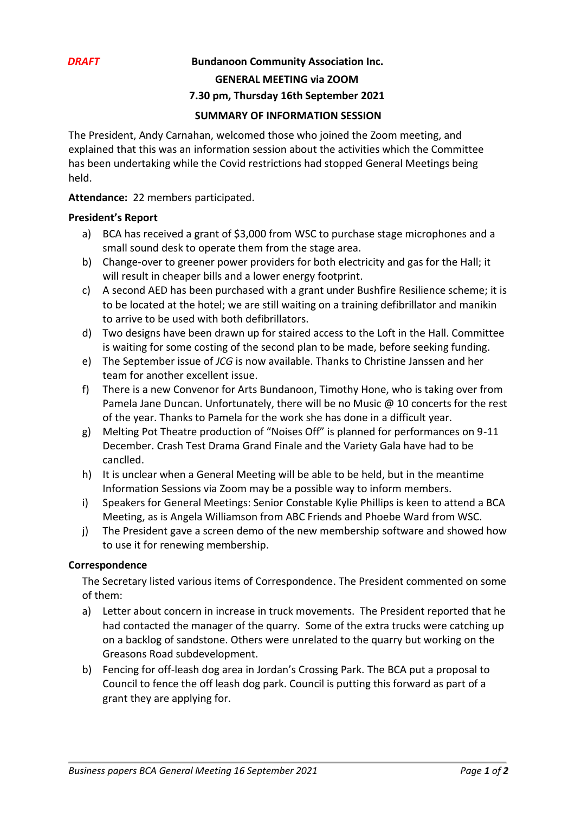## *DRAFT* **Bundanoon Community Association Inc.**

**GENERAL MEETING via ZOOM**

#### **7.30 pm, Thursday 16th September 2021**

### **SUMMARY OF INFORMATION SESSION**

The President, Andy Carnahan, welcomed those who joined the Zoom meeting, and explained that this was an information session about the activities which the Committee has been undertaking while the Covid restrictions had stopped General Meetings being held.

**Attendance:** 22 members participated.

#### **President's Report**

- a) BCA has received a grant of \$3,000 from WSC to purchase stage microphones and a small sound desk to operate them from the stage area.
- b) Change-over to greener power providers for both electricity and gas for the Hall; it will result in cheaper bills and a lower energy footprint.
- c) A second AED has been purchased with a grant under Bushfire Resilience scheme; it is to be located at the hotel; we are still waiting on a training defibrillator and manikin to arrive to be used with both defibrillators.
- d) Two designs have been drawn up for staired access to the Loft in the Hall. Committee is waiting for some costing of the second plan to be made, before seeking funding.
- e) The September issue of *JCG* is now available. Thanks to Christine Janssen and her team for another excellent issue.
- f) There is a new Convenor for Arts Bundanoon, Timothy Hone, who is taking over from Pamela Jane Duncan. Unfortunately, there will be no Music @ 10 concerts for the rest of the year. Thanks to Pamela for the work she has done in a difficult year.
- g) Melting Pot Theatre production of "Noises Off" is planned for performances on 9-11 December. Crash Test Drama Grand Finale and the Variety Gala have had to be canclled.
- h) It is unclear when a General Meeting will be able to be held, but in the meantime Information Sessions via Zoom may be a possible way to inform members.
- i) Speakers for General Meetings: Senior Constable Kylie Phillips is keen to attend a BCA Meeting, as is Angela Williamson from ABC Friends and Phoebe Ward from WSC.
- j) The President gave a screen demo of the new membership software and showed how to use it for renewing membership.

## **Correspondence**

The Secretary listed various items of Correspondence. The President commented on some of them:

- a) Letter about concern in increase in truck movements. The President reported that he had contacted the manager of the quarry. Some of the extra trucks were catching up on a backlog of sandstone. Others were unrelated to the quarry but working on the Greasons Road subdevelopment.
- b) Fencing for off-leash dog area in Jordan's Crossing Park. The BCA put a proposal to Council to fence the off leash dog park. Council is putting this forward as part of a grant they are applying for.